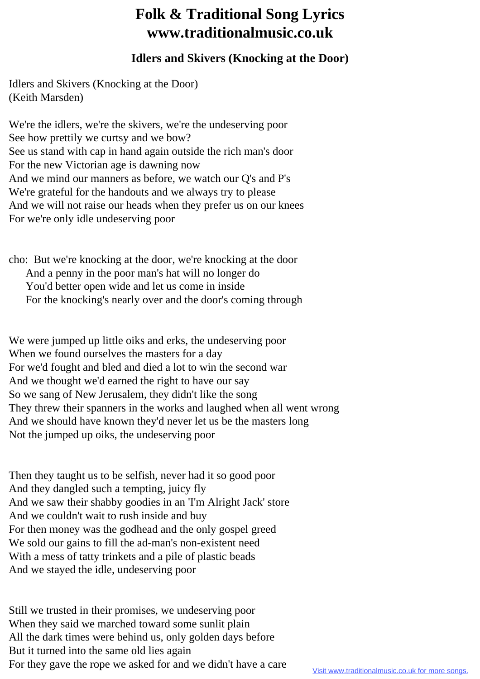## **Folk & Traditional Song Lyrics www.traditionalmusic.co.uk**

## **Idlers and Skivers (Knocking at the Door)**

Idlers and Skivers (Knocking at the Door) (Keith Marsden)

We're the idlers, we're the skivers, we're the undeserving poor See how prettily we curtsy and we bow? See us stand with cap in hand again outside the rich man's door For the new Victorian age is dawning now And we mind our manners as before, we watch our Q's and P's We're grateful for the handouts and we always try to please And we will not raise our heads when they prefer us on our knees For we're only idle undeserving poor

cho: But we're knocking at the door, we're knocking at the door And a penny in the poor man's hat will no longer do You'd better open wide and let us come in inside For the knocking's nearly over and the door's coming through

We were jumped up little oiks and erks, the undeserving poor When we found ourselves the masters for a day For we'd fought and bled and died a lot to win the second war And we thought we'd earned the right to have our say So we sang of New Jerusalem, they didn't like the song They threw their spanners in the works and laughed when all went wrong And we should have known they'd never let us be the masters long Not the jumped up oiks, the undeserving poor

Then they taught us to be selfish, never had it so good poor And they dangled such a tempting, juicy fly And we saw their shabby goodies in an 'I'm Alright Jack' store And we couldn't wait to rush inside and buy For then money was the godhead and the only gospel greed We sold our gains to fill the ad-man's non-existent need With a mess of tatty trinkets and a pile of plastic beads And we stayed the idle, undeserving poor

Still we trusted in their promises, we undeserving poor When they said we marched toward some sunlit plain All the dark times were behind us, only golden days before But it turned into the same old lies again For they gave the rope we asked for and we didn't have a care